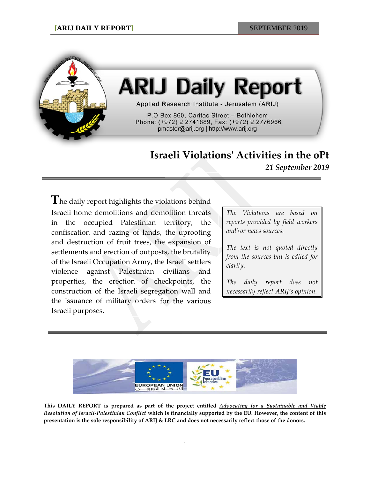

## **ARIJ Daily Report**

Applied Research Institute - Jerusalem (ARIJ)

P.O Box 860, Caritas Street - Bethlehem Phone: (+972) 2 2741889, Fax: (+972) 2 2776966 pmaster@arij.org | http://www.arij.org

## **Israeli Violations' Activities in the oPt**

*21 September 2019*

**T**he daily report highlights the violations behind Israeli home demolitions and demolition threats in the occupied Palestinian territory, the confiscation and razing of lands, the uprooting and destruction of fruit trees, the expansion of settlements and erection of outposts, the brutality of the Israeli Occupation Army, the Israeli settlers violence against Palestinian civilians and properties, the erection of checkpoints, the construction of the Israeli segregation wall and the issuance of military orders for the various Israeli purposes.

*The Violations are based on reports provided by field workers and\or news sources.*

*The text is not quoted directly from the sources but is edited for clarity.*

*The daily report does not necessarily reflect ARIJ's opinion.*



**This DAILY REPORT is prepared as part of the project entitled** *Advocating for a Sustainable and Viable Resolution of Israeli-Palestinian Conflict* **which is financially supported by the EU. However, the content of this presentation is the sole responsibility of ARIJ & LRC and does not necessarily reflect those of the donors.**